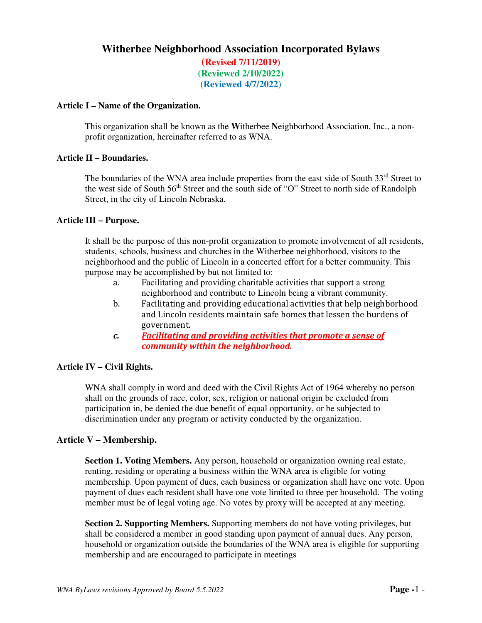# **Witherbee Neighborhood Association Incorporated Bylaws**

**(Revised 7/11/2019) (Reviewed 2/10/2022) (Reviewed 4/7/2022)** 

#### **Article I – Name of the Organization.**

This organization shall be known as the **W**itherbee **N**eighborhood **A**ssociation, Inc., a nonprofit organization, hereinafter referred to as WNA.

### **Article II – Boundaries.**

The boundaries of the WNA area include properties from the east side of South 33<sup>rd</sup> Street to the west side of South 56<sup>th</sup> Street and the south side of "O" Street to north side of Randolph Street, in the city of Lincoln Nebraska.

#### **Article III – Purpose.**

It shall be the purpose of this non-profit organization to promote involvement of all residents, students, schools, business and churches in the Witherbee neighborhood, visitors to the neighborhood and the public of Lincoln in a concerted effort for a better community. This purpose may be accomplished by but not limited to:

- a. Facilitating and providing charitable activities that support a strong neighborhood and contribute to Lincoln being a vibrant community.
- b. Facilitating and providing educational activities that help neighborhood and Lincoln residents maintain safe homes that lessen the burdens of government.
- *c. Facilitating and providing activities that promote a sense of community within the neighborhood.*

#### **Article IV – Civil Rights.**

WNA shall comply in word and deed with the Civil Rights Act of 1964 whereby no person shall on the grounds of race, color, sex, religion or national origin be excluded from participation in, be denied the due benefit of equal opportunity, or be subjected to discrimination under any program or activity conducted by the organization.

#### **Article V – Membership.**

**Section 1. Voting Members.** Any person, household or organization owning real estate, renting, residing or operating a business within the WNA area is eligible for voting membership. Upon payment of dues, each business or organization shall have one vote. Upon payment of dues each resident shall have one vote limited to three per household. The voting member must be of legal voting age. No votes by proxy will be accepted at any meeting.

**Section 2. Supporting Members.** Supporting members do not have voting privileges, but shall be considered a member in good standing upon payment of annual dues. Any person, household or organization outside the boundaries of the WNA area is eligible for supporting membership and are encouraged to participate in meetings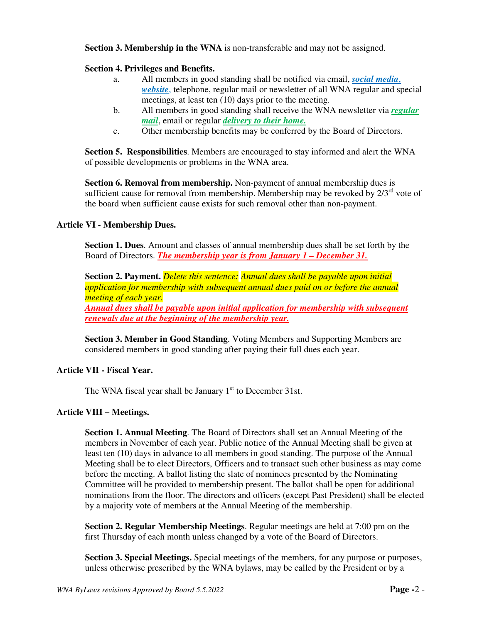### **Section 3. Membership in the WNA** is non-transferable and may not be assigned.

### **Section 4. Privileges and Benefits.**

- a. All members in good standing shall be notified via email, *social media*, *website*, telephone, regular mail or newsletter of all WNA regular and special meetings, at least ten (10) days prior to the meeting.
- b. All members in good standing shall receive the WNA newsletter via *regular mail*, email or regular *delivery to their home.*
- c. Other membership benefits may be conferred by the Board of Directors.

**Section 5. Responsibilities**. Members are encouraged to stay informed and alert the WNA of possible developments or problems in the WNA area.

**Section 6. Removal from membership.** Non-payment of annual membership dues is sufficient cause for removal from membership. Membership may be revoked by  $2/3^{rd}$  vote of the board when sufficient cause exists for such removal other than non-payment.

#### **Article VI - Membership Dues.**

**Section 1. Dues**. Amount and classes of annual membership dues shall be set forth by the Board of Directors. *The membership year is from January 1 – December 31.*

**Section 2. Payment.** *Delete this sentence: Annual dues shall be payable upon initial application for membership with subsequent annual dues paid on or before the annual meeting of each year.* 

*Annual dues shall be payable upon initial application for membership with subsequent renewals due at the beginning of the membership year.* 

**Section 3. Member in Good Standing**. Voting Members and Supporting Members are considered members in good standing after paying their full dues each year.

#### **Article VII - Fiscal Year.**

The WNA fiscal year shall be January  $1<sup>st</sup>$  to December 31st.

#### **Article VIII – Meetings.**

**Section 1. Annual Meeting**. The Board of Directors shall set an Annual Meeting of the members in November of each year. Public notice of the Annual Meeting shall be given at least ten (10) days in advance to all members in good standing. The purpose of the Annual Meeting shall be to elect Directors, Officers and to transact such other business as may come before the meeting. A ballot listing the slate of nominees presented by the Nominating Committee will be provided to membership present. The ballot shall be open for additional nominations from the floor. The directors and officers (except Past President) shall be elected by a majority vote of members at the Annual Meeting of the membership.

**Section 2. Regular Membership Meetings**. Regular meetings are held at 7:00 pm on the first Thursday of each month unless changed by a vote of the Board of Directors.

**Section 3. Special Meetings.** Special meetings of the members, for any purpose or purposes, unless otherwise prescribed by the WNA bylaws, may be called by the President or by a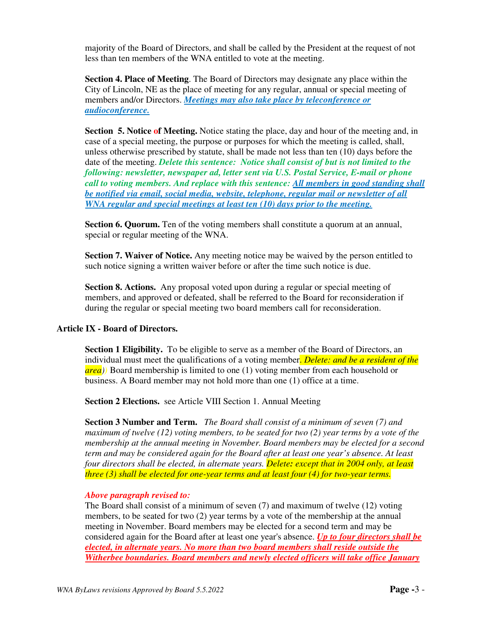majority of the Board of Directors, and shall be called by the President at the request of not less than ten members of the WNA entitled to vote at the meeting.

**Section 4. Place of Meeting**. The Board of Directors may designate any place within the City of Lincoln, NE as the place of meeting for any regular, annual or special meeting of members and/or Directors. *Meetings may also take place by teleconference or audioconference.*

**Section 5. Notice of Meeting.** Notice stating the place, day and hour of the meeting and, in case of a special meeting, the purpose or purposes for which the meeting is called, shall, unless otherwise prescribed by statute, shall be made not less than ten (10) days before the date of the meeting. *Delete this sentence: Notice shall consist of but is not limited to the following: newsletter, newspaper ad, letter sent via U.S. Postal Service, E-mail or phone call to voting members. And replace with this sentence: All members in good standing shall be notified via email, social media, website, telephone, regular mail or newsletter of all WNA regular and special meetings at least ten (10) days prior to the meeting.*

**Section 6. Quorum.** Ten of the voting members shall constitute a quorum at an annual, special or regular meeting of the WNA.

**Section 7. Waiver of Notice.** Any meeting notice may be waived by the person entitled to such notice signing a written waiver before or after the time such notice is due.

**Section 8. Actions.** Any proposal voted upon during a regular or special meeting of members, and approved or defeated, shall be referred to the Board for reconsideration if during the regular or special meeting two board members call for reconsideration.

### **Article IX - Board of Directors.**

**Section 1 Eligibility.** To be eligible to serve as a member of the Board of Directors, an individual must meet the qualifications of a voting member. *Delete: and be a resident of the area))* Board membership is limited to one (1) voting member from each household or business. A Board member may not hold more than one (1) office at a time.

**Section 2 Elections.** see Article VIII Section 1. Annual Meeting

**Section 3 Number and Term.** *The Board shall consist of a minimum of seven (7) and maximum of twelve (12) voting members, to be seated for two (2) year terms by a vote of the membership at the annual meeting in November. Board members may be elected for a second term and may be considered again for the Board after at least one year's absence. At least four directors shall be elected, in alternate years. Delete: except that in 2004 only, at least three (3) shall be elected for one-year terms and at least four (4) for two-year terms.* 

#### *Above paragraph revised to:*

The Board shall consist of a minimum of seven (7) and maximum of twelve (12) voting members, to be seated for two (2) year terms by a vote of the membership at the annual meeting in November. Board members may be elected for a second term and may be considered again for the Board after at least one year's absence. *Up to four directors shall be elected, in alternate years. No more than two board members shall reside outside the Witherbee boundaries. Board members and newly elected officers will take office January*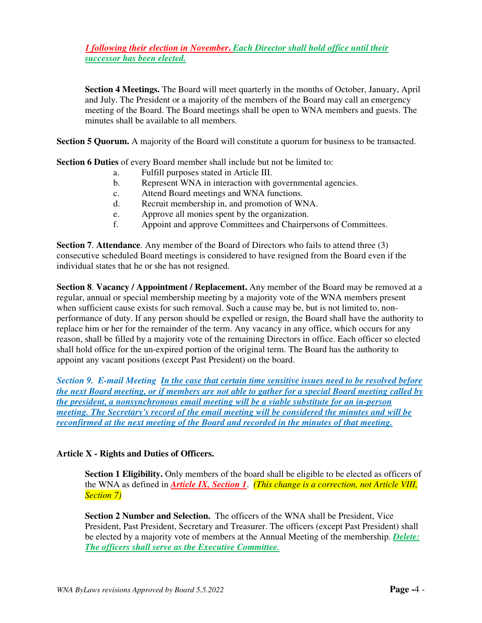# *1 following their election in November***.** *Each Director shall hold office until their successor has been elected.*

**Section 4 Meetings.** The Board will meet quarterly in the months of October, January, April and July. The President or a majority of the members of the Board may call an emergency meeting of the Board. The Board meetings shall be open to WNA members and guests. The minutes shall be available to all members.

**Section 5 Quorum.** A majority of the Board will constitute a quorum for business to be transacted.

**Section 6 Duties** of every Board member shall include but not be limited to:

- a. Fulfill purposes stated in Article III.
- b. Represent WNA in interaction with governmental agencies.
- c. Attend Board meetings and WNA functions.
- d. Recruit membership in, and promotion of WNA.
- e. Approve all monies spent by the organization.
- f. Appoint and approve Committees and Chairpersons of Committees.

**Section 7**. **Attendance**. Any member of the Board of Directors who fails to attend three (3) consecutive scheduled Board meetings is considered to have resigned from the Board even if the individual states that he or she has not resigned.

**Section 8. Vacancy / Appointment / Replacement.** Any member of the Board may be removed at a regular, annual or special membership meeting by a majority vote of the WNA members present when sufficient cause exists for such removal. Such a cause may be, but is not limited to, nonperformance of duty. If any person should be expelled or resign, the Board shall have the authority to replace him or her for the remainder of the term. Any vacancy in any office, which occurs for any reason, shall be filled by a majority vote of the remaining Directors in office. Each officer so elected shall hold office for the un-expired portion of the original term. The Board has the authority to appoint any vacant positions (except Past President) on the board.

*Section 9. E-mail Meeting In the case that certain time sensitive issues need to be resolved before the next Board meeting, or if members are not able to gather for a special Board meeting called by the president, a nonsynchronous email meeting will be a viable substitute for an in-person meeting. The Secretary's record of the email meeting will be considered the minutes and will be reconfirmed at the next meeting of the Board and recorded in the minutes of that meeting.*

### **Article X - Rights and Duties of Officers.**

**Section 1 Eligibility.** Only members of the board shall be eligible to be elected as officers of the WNA as defined in *Article IX, Section 1*. *(This change is a correction, not Article VIII, Section 7)* 

**Section 2 Number and Selection.** The officers of the WNA shall be President, Vice President, Past President, Secretary and Treasurer. The officers (except Past President) shall be elected by a majority vote of members at the Annual Meeting of the membership. *Delete: The officers shall serve as the Executive Committee.*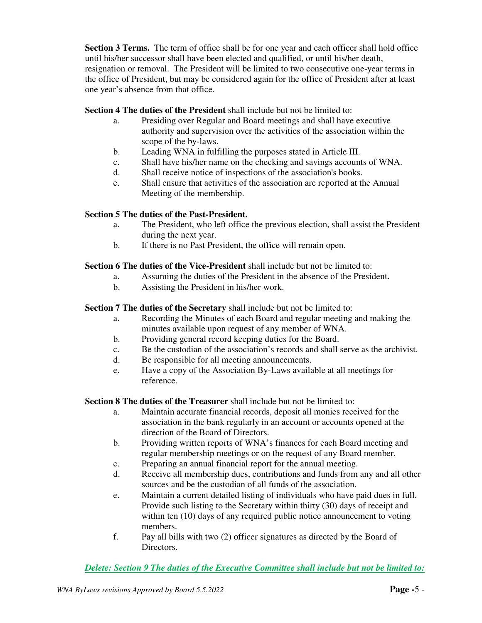**Section 3 Terms.** The term of office shall be for one year and each officer shall hold office until his/her successor shall have been elected and qualified, or until his/her death, resignation or removal. The President will be limited to two consecutive one-year terms in the office of President, but may be considered again for the office of President after at least one year's absence from that office.

**Section 4 The duties of the President** shall include but not be limited to:

- a. Presiding over Regular and Board meetings and shall have executive authority and supervision over the activities of the association within the scope of the by-laws.
- b. Leading WNA in fulfilling the purposes stated in Article III.
- c. Shall have his/her name on the checking and savings accounts of WNA.
- d. Shall receive notice of inspections of the association's books.
- e. Shall ensure that activities of the association are reported at the Annual Meeting of the membership.

## **Section 5 The duties of the Past-President.**

- a. The President, who left office the previous election, shall assist the President during the next year.
- b. If there is no Past President, the office will remain open.

### **Section 6 The duties of the Vice-President** shall include but not be limited to:

- a. Assuming the duties of the President in the absence of the President.
- b. Assisting the President in his/her work.

### **Section 7 The duties of the Secretary** shall include but not be limited to:

- a. Recording the Minutes of each Board and regular meeting and making the minutes available upon request of any member of WNA.
- b. Providing general record keeping duties for the Board.
- c. Be the custodian of the association's records and shall serve as the archivist.
- d. Be responsible for all meeting announcements.
- e. Have a copy of the Association By-Laws available at all meetings for reference.

**Section 8 The duties of the Treasurer** shall include but not be limited to:

- a. Maintain accurate financial records, deposit all monies received for the association in the bank regularly in an account or accounts opened at the direction of the Board of Directors.
- b. Providing written reports of WNA's finances for each Board meeting and regular membership meetings or on the request of any Board member.
- c. Preparing an annual financial report for the annual meeting.
- d. Receive all membership dues, contributions and funds from any and all other sources and be the custodian of all funds of the association.
- e. Maintain a current detailed listing of individuals who have paid dues in full. Provide such listing to the Secretary within thirty (30) days of receipt and within ten (10) days of any required public notice announcement to voting members.
- f. Pay all bills with two (2) officer signatures as directed by the Board of **Directors**

*Delete: Section 9 The duties of the Executive Committee shall include but not be limited to:*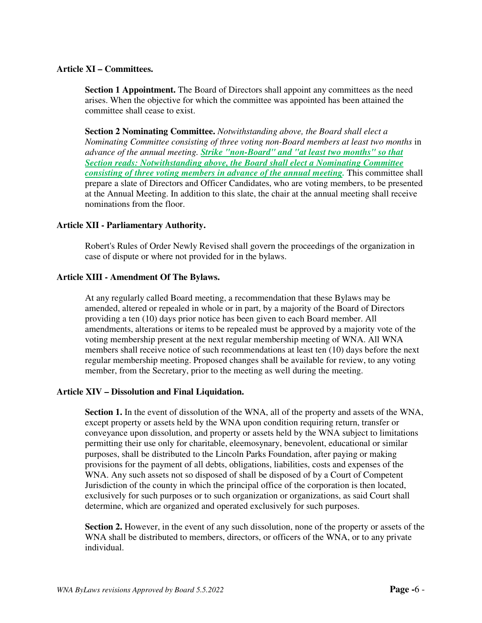#### **Article XI – Committees.**

**Section 1 Appointment.** The Board of Directors shall appoint any committees as the need arises. When the objective for which the committee was appointed has been attained the committee shall cease to exist.

**Section 2 Nominating Committee.** *Notwithstanding above, the Board shall elect a Nominating Committee consisting of three voting non-Board members at least two months* in *advance of the annual meeting. Strike "non-Board" and "at least two months" so that Section reads: Notwithstanding above, the Board shall elect a Nominating Committee consisting of three voting members in advance of the annual meeting.* This committee shall prepare a slate of Directors and Officer Candidates, who are voting members, to be presented at the Annual Meeting. In addition to this slate, the chair at the annual meeting shall receive nominations from the floor.

#### **Article XII - Parliamentary Authority.**

Robert's Rules of Order Newly Revised shall govern the proceedings of the organization in case of dispute or where not provided for in the bylaws.

#### **Article XIII - Amendment Of The Bylaws.**

At any regularly called Board meeting, a recommendation that these Bylaws may be amended, altered or repealed in whole or in part, by a majority of the Board of Directors providing a ten (10) days prior notice has been given to each Board member. All amendments, alterations or items to be repealed must be approved by a majority vote of the voting membership present at the next regular membership meeting of WNA. All WNA members shall receive notice of such recommendations at least ten (10) days before the next regular membership meeting. Proposed changes shall be available for review, to any voting member, from the Secretary, prior to the meeting as well during the meeting.

#### **Article XIV – Dissolution and Final Liquidation.**

**Section 1.** In the event of dissolution of the WNA, all of the property and assets of the WNA, except property or assets held by the WNA upon condition requiring return, transfer or conveyance upon dissolution, and property or assets held by the WNA subject to limitations permitting their use only for charitable, eleemosynary, benevolent, educational or similar purposes, shall be distributed to the Lincoln Parks Foundation, after paying or making provisions for the payment of all debts, obligations, liabilities, costs and expenses of the WNA. Any such assets not so disposed of shall be disposed of by a Court of Competent Jurisdiction of the county in which the principal office of the corporation is then located, exclusively for such purposes or to such organization or organizations, as said Court shall determine, which are organized and operated exclusively for such purposes.

**Section 2.** However, in the event of any such dissolution, none of the property or assets of the WNA shall be distributed to members, directors, or officers of the WNA, or to any private individual.